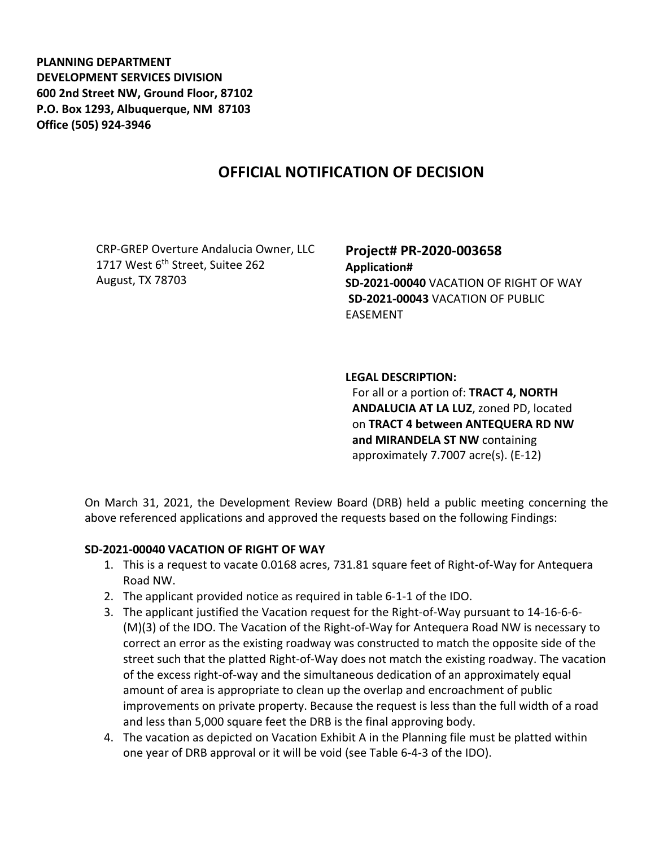**PLANNING DEPARTMENT DEVELOPMENT SERVICES DIVISION 600 2nd Street NW, Ground Floor, 87102 P.O. Box 1293, Albuquerque, NM 87103 Office (505) 924-3946** 

## **OFFICIAL NOTIFICATION OF DECISION**

CRP-GREP Overture Andalucia Owner, LLC 1717 West 6<sup>th</sup> Street, Suitee 262 August, TX 78703

**Project# PR-2020-003658 Application# SD-2021-00040** VACATION OF RIGHT OF WAY **SD-2021-00043** VACATION OF PUBLIC EASEMENT

## **LEGAL DESCRIPTION:**

For all or a portion of: **TRACT 4, NORTH ANDALUCIA AT LA LUZ**, zoned PD, located on **TRACT 4 between ANTEQUERA RD NW and MIRANDELA ST NW** containing approximately 7.7007 acre(s). (E-12)

On March 31, 2021, the Development Review Board (DRB) held a public meeting concerning the above referenced applications and approved the requests based on the following Findings:

## **SD-2021-00040 VACATION OF RIGHT OF WAY**

- 1. This is a request to vacate 0.0168 acres, 731.81 square feet of Right-of-Way for Antequera Road NW.
- 2. The applicant provided notice as required in table 6-1-1 of the IDO.
- 3. The applicant justified the Vacation request for the Right-of-Way pursuant to 14-16-6-6- (M)(3) of the IDO. The Vacation of the Right-of-Way for Antequera Road NW is necessary to correct an error as the existing roadway was constructed to match the opposite side of the street such that the platted Right-of-Way does not match the existing roadway. The vacation of the excess right-of-way and the simultaneous dedication of an approximately equal amount of area is appropriate to clean up the overlap and encroachment of public improvements on private property. Because the request is less than the full width of a road and less than 5,000 square feet the DRB is the final approving body.
- 4. The vacation as depicted on Vacation Exhibit A in the Planning file must be platted within one year of DRB approval or it will be void (see Table 6-4-3 of the IDO).